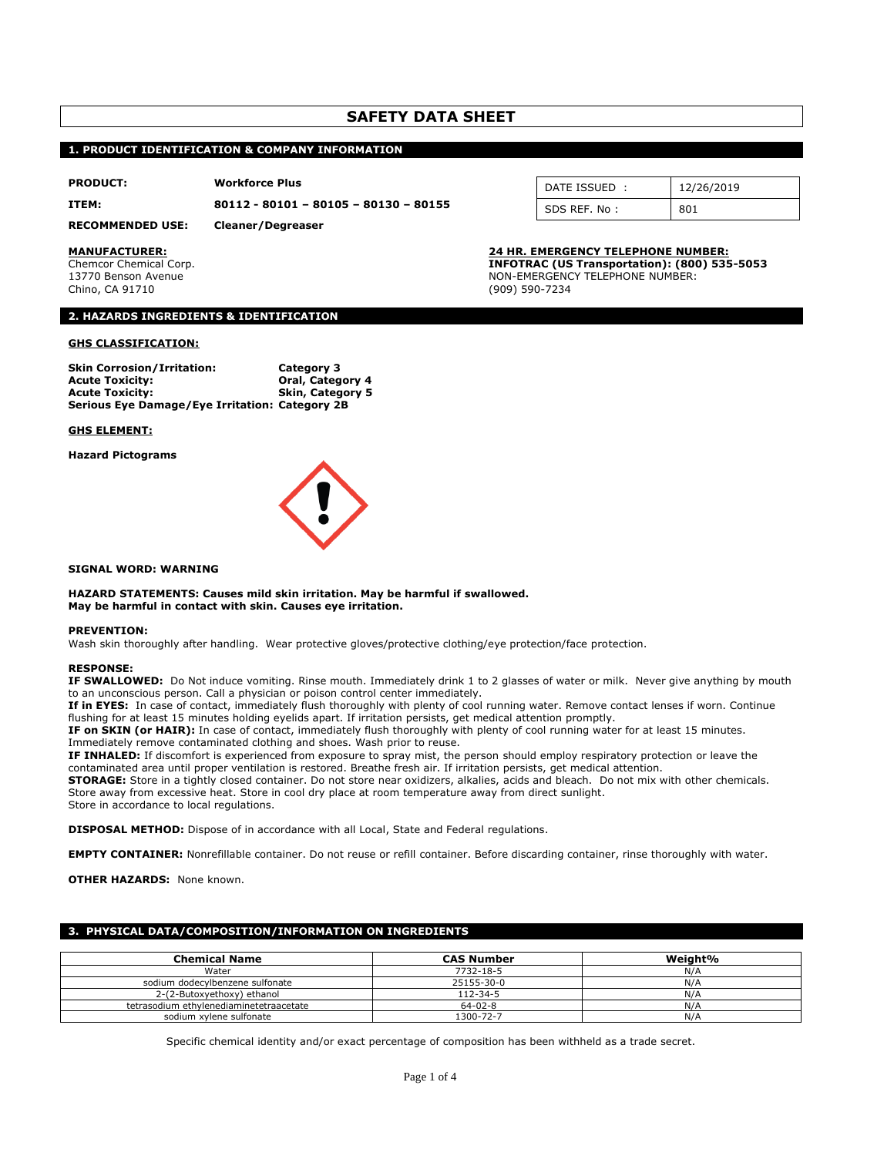# **SAFETY DATA SHEET**

# **1. PRODUCT IDENTIFICATION & COMPANY INFORMATION**

### **PRODUCT: Workforce Plus**

**ITEM: 80112 - 80101 – 80105 – 80130 – 80155**

**RECOMMENDED USE: Cleaner/Degreaser**

Chino, CA 91710 (909) 590-7234

# **2. HAZARDS INGREDIENTS & IDENTIFICATION**

## **GHS CLASSIFICATION:**

| <b>Skin Corrosion/Irritation:</b>              | <b>Category 3</b> |
|------------------------------------------------|-------------------|
| <b>Acute Toxicity:</b>                         | Oral, Category 4  |
| <b>Acute Toxicity:</b>                         | Skin, Category 5  |
| Serious Eye Damage/Eye Irritation: Category 2B |                   |

### **GHS ELEMENT:**

**Hazard Pictograms**



### **SIGNAL WORD: WARNING**

**HAZARD STATEMENTS: Causes mild skin irritation. May be harmful if swallowed. May be harmful in contact with skin. Causes eye irritation.**

### **PREVENTION:**

Wash skin thoroughly after handling. Wear protective gloves/protective clothing/eye protection/face protection.

# **RESPONSE:**

**IF SWALLOWED:** Do Not induce vomiting. Rinse mouth. Immediately drink 1 to 2 glasses of water or milk. Never give anything by mouth to an unconscious person. Call a physician or poison control center immediately.

**If in EYES:** In case of contact, immediately flush thoroughly with plenty of cool running water. Remove contact lenses if worn. Continue flushing for at least 15 minutes holding eyelids apart. If irritation persists, get medical attention promptly.

**IF on SKIN (or HAIR):** In case of contact, immediately flush thoroughly with plenty of cool running water for at least 15 minutes. Immediately remove contaminated clothing and shoes. Wash prior to reuse.

**IF INHALED:** If discomfort is experienced from exposure to spray mist, the person should employ respiratory protection or leave the contaminated area until proper ventilation is restored. Breathe fresh air. If irritation persists, get medical attention.

**STORAGE:** Store in a tightly closed container. Do not store near oxidizers, alkalies, acids and bleach. Do not mix with other chemicals. Store away from excessive heat. Store in cool dry place at room temperature away from direct sunlight.

Store in accordance to local regulations.

**DISPOSAL METHOD:** Dispose of in accordance with all Local, State and Federal regulations.

**EMPTY CONTAINER:** Nonrefillable container. Do not reuse or refill container. Before discarding container, rinse thoroughly with water.

**OTHER HAZARDS: None known.** 

# **3. PHYSICAL DATA/COMPOSITION/INFORMATION ON INGREDIENTS**

| <b>Chemical Name</b>                    | <b>CAS Number</b> | Weight% |
|-----------------------------------------|-------------------|---------|
| Water                                   | 7732-18-5         | N/A     |
| sodium dodecylbenzene sulfonate         | 25155-30-0        | N/A     |
| 2-(2-Butoxyethoxy) ethanol              | 112-34-5          | N/A     |
| tetrasodium ethylenediaminetetraacetate | $64 - 02 - 8$     | N/A     |
| sodium xvlene sulfonate                 | 1300-72-7         | N/A     |

Specific chemical identity and/or exact percentage of composition has been withheld as a trade secret.

| DATE ISSUED  | 12/26/2019 |
|--------------|------------|
| SDS REF. No: |            |

# **MANUFACTURER: 24 HR. EMERGENCY TELEPHONE NUMBER:**

Chemcor Chemical Corp. **INFOTRAC (US Transportation): (800) 535-5053** 13770 Benson Avenue Non-Emergency TELEPHONE NUMBER: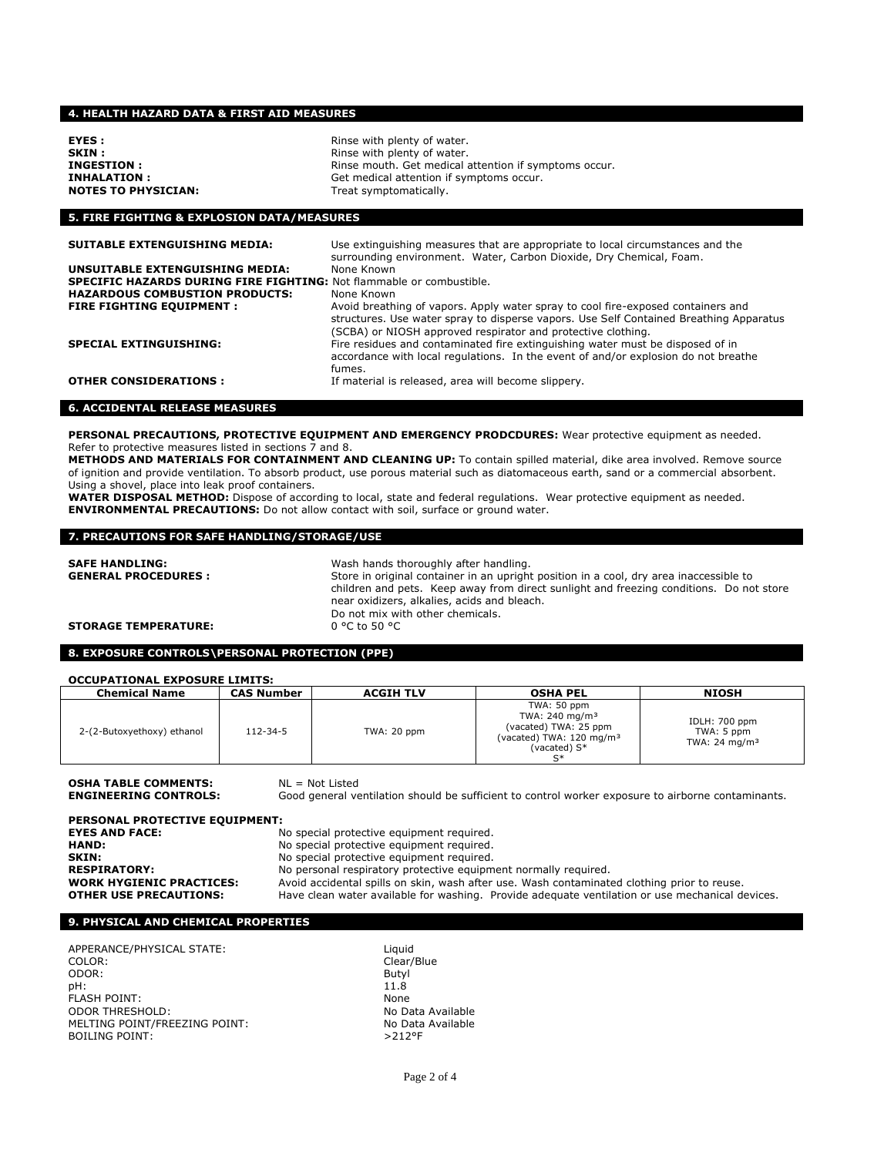# **4. HEALTH HAZARD DATA & FIRST AID MEASURES**

| <b>EYES :</b>              |  |
|----------------------------|--|
| SKIN :                     |  |
| <b>INGESTION :</b>         |  |
| INHALATION :               |  |
| <b>NOTES TO PHYSICIAN:</b> |  |
|                            |  |

Rinse with plenty of water. Rinse with plenty of water. Rinse mouth. Get medical attention if symptoms occur. **INHALATION : Get medical attention if symptoms occur.** Treat symptomatically.

# **5. FIRE FIGHTING & EXPLOSION DATA/MEASURES**

| <b>SUITABLE EXTENGUISHING MEDIA:</b>                                        | Use extinguishing measures that are appropriate to local circumstances and the<br>surrounding environment. Water, Carbon Dioxide, Dry Chemical, Foam.                                                                                      |
|-----------------------------------------------------------------------------|--------------------------------------------------------------------------------------------------------------------------------------------------------------------------------------------------------------------------------------------|
| UNSUITABLE EXTENGUISHING MEDIA:                                             | None Known                                                                                                                                                                                                                                 |
| <b>SPECIFIC HAZARDS DURING FIRE FIGHTING: Not flammable or combustible.</b> |                                                                                                                                                                                                                                            |
| <b>HAZARDOUS COMBUSTION PRODUCTS:</b>                                       | None Known                                                                                                                                                                                                                                 |
| <b>FIRE FIGHTING EQUIPMENT :</b>                                            | Avoid breathing of vapors. Apply water spray to cool fire-exposed containers and<br>structures. Use water spray to disperse vapors. Use Self Contained Breathing Apparatus<br>(SCBA) or NIOSH approved respirator and protective clothing. |
| <b>SPECIAL EXTINGUISHING:</b>                                               | Fire residues and contaminated fire extinguishing water must be disposed of in<br>accordance with local regulations. In the event of and/or explosion do not breathe<br>fumes.                                                             |
| <b>OTHER CONSIDERATIONS:</b>                                                | If material is released, area will become slippery.                                                                                                                                                                                        |

## **6. ACCIDENTAL RELEASE MEASURES**

**PERSONAL PRECAUTIONS, PROTECTIVE EQUIPMENT AND EMERGENCY PRODCDURES:** Wear protective equipment as needed. Refer to protective measures listed in sections 7 and 8.

**METHODS AND MATERIALS FOR CONTAINMENT AND CLEANING UP:** To contain spilled material, dike area involved. Remove source of ignition and provide ventilation. To absorb product, use porous material such as diatomaceous earth, sand or a commercial absorbent. Using a shovel, place into leak proof containers.

**WATER DISPOSAL METHOD:** Dispose of according to local, state and federal regulations. Wear protective equipment as needed. **ENVIRONMENTAL PRECAUTIONS:** Do not allow contact with soil, surface or ground water.

# **7. PRECAUTIONS FOR SAFE HANDLING/STORAGE/USE**

| <b>SAFE HANDLING:</b><br><b>GENERAL PROCEDURES:</b> | Wash hands thoroughly after handling.<br>Store in original container in an upright position in a cool, dry area inaccessible to        |
|-----------------------------------------------------|----------------------------------------------------------------------------------------------------------------------------------------|
|                                                     | children and pets. Keep away from direct sunlight and freezing conditions. Do not store<br>near oxidizers, alkalies, acids and bleach. |
|                                                     | Do not mix with other chemicals.                                                                                                       |
| <b>STORAGE TEMPERATURE:</b>                         | $0^{\circ}$ C to 50 $^{\circ}$ C                                                                                                       |

# **8. EXPOSURE CONTROLS\PERSONAL PROTECTION (PPE)**

### **OCCUPATIONAL EXPOSURE LIMITS:**

| <b>Chemical Name</b>       | <b>CAS Number</b> | <b>ACGIH TLV</b> | <b>OSHA PEL</b>                                                                                                                    | <b>NIOSH</b>                                             |
|----------------------------|-------------------|------------------|------------------------------------------------------------------------------------------------------------------------------------|----------------------------------------------------------|
| 2-(2-Butoxyethoxy) ethanol | $112 - 34 - 5$    | TWA: 20 ppm      | TWA: 50 ppm<br>TWA: 240 mg/m <sup>3</sup><br>(vacated) TWA: 25 ppm<br>(vacated) TWA: 120 mg/m <sup>3</sup><br>(vacated) S*<br>$C*$ | IDLH: 700 ppm<br>TWA: 5 ppm<br>TWA: 24 mg/m <sup>3</sup> |

**OSHA TABLE COMMENTS:**  $NL = Not \text{Listed}}$ <br>**ENGINEERING CONTROLS:** Good general ve

Good general ventilation should be sufficient to control worker exposure to airborne contaminants.

**PERSONAL PROTECTIVE EQUIPMENT:**

No special protective equipment required. HAND: No special protective equipment required. **SKIN:** No special protective equipment required. **RESPIRATORY:** No personal respiratory protective equipment normally required.<br>**WORK HYGIENIC PRACTICES:** Avoid accidental spills on skin, wash after use. Wash contaminat **WORK HYGIENIC PRACTICES:** Avoid accidental spills on skin, wash after use. Wash contaminated clothing prior to reuse.<br>**OTHER USE PRECAUTIONS:** Have clean water available for washing. Provide adequate ventilation or use me Have clean water available for washing. Provide adequate ventilation or use mechanical devices.

# **9. PHYSICAL AND CHEMICAL PROPERTIES**

APPERANCE/PHYSICAL STATE:<br>COLOR: Liquid ODOR: Butyl pH: 11.8 FLASH POINT: None ODOR THRESHOLD: MELTING POINT/FREEZING POINT: No Data Available<br>BOILING POINT: No Data Available BOILING POINT:

Clear/Blue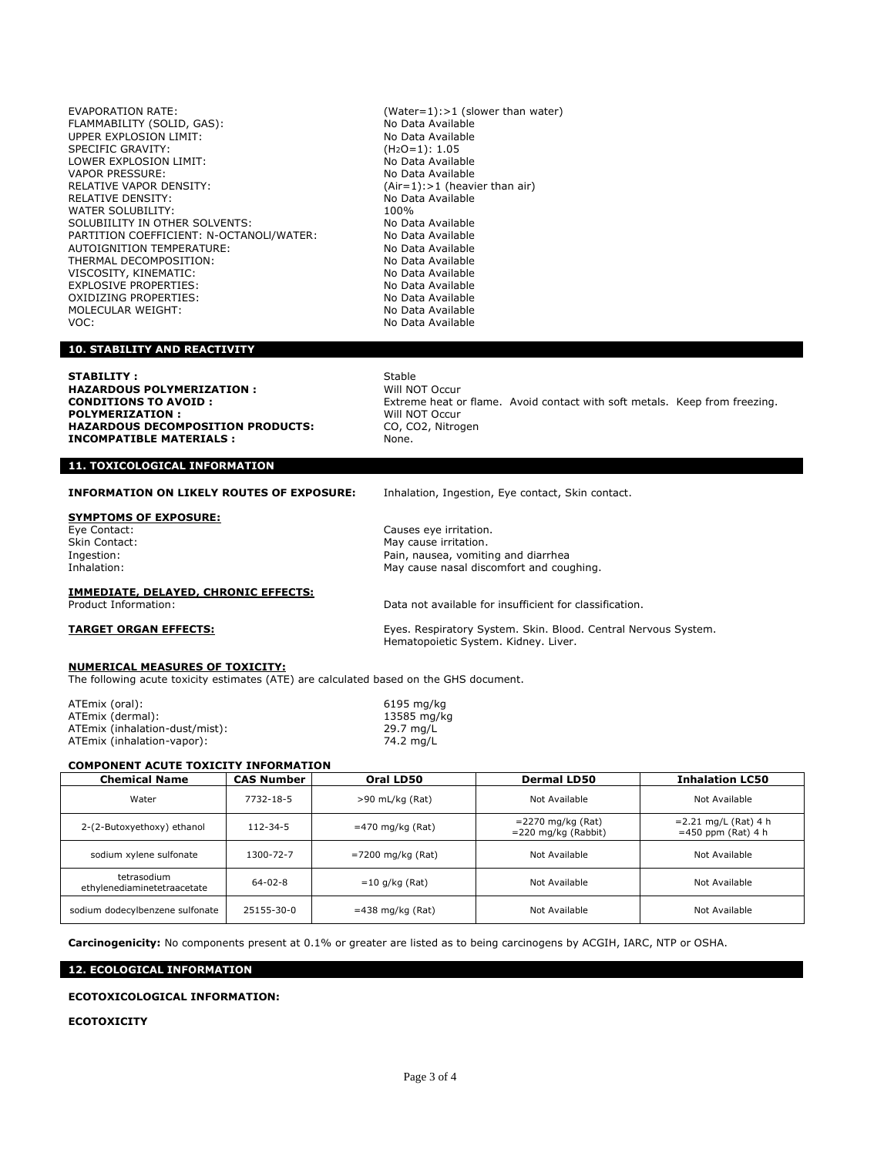EVAPORATION RATE: (Water=1):>1 (slower than water) FLAMMABILITY (SOLID, GAS): No Data Available<br>
UPPER EXPLOSION LIMIT: No Data Available UPPER EXPLOSION LIMIT: SPECIFIC GRAVITY: (H2O=1): 1.05 LOWER EXPLOSION LIMIT: No Data Available<br>VAPOR PRESSURE: No Data Available VAPOR PRESSURE:<br>RELATIVE VAPOR DENSITY: RELATIVE VAPOR DENSITY:<br>RELATIVE DENSITY: (Air=1):>1 (heavier than air)<br>RELATIVE DENSITY: WATER SOLUBILITY:<br>
SOLUBIILITY IN OTHER SOLVENTS: No Data Available SOLUBIILITY IN OTHER SOLVENTS: NO Data Available<br>PARTITION COEFFICIENT: N-OCTANOLI/WATER: No Data Available PARTITION COEFFICIENT: N-OCTANOLI/WATER: No Data Available<br>AUTOIGNITION TEMPERATURE: No Data Available AUTOIGNITION TEMPERATURE: THERMAL DECOMPOSITION: No Data Available<br>No Data Available VISCOSITY, KINEMATIC: VISCOSITY, KINEMATIC: No Data Available<br>
EXPLOSIVE PROPERTIES: No Data Available EXPLOSIVE PROPERTIES:<br>
OXIDIZING PROPERTIES: No Data Available OXIDIZING PROPERTIES: No Data Available<br>MOLECULAR WEIGHT: No Data Available MOLECULAR WEIGHT: VOC: No Data Available

No Data Available

# **10. STABILITY AND REACTIVITY**

**STABILITY :** Stable Stable Stable Stable Stable Stable Stable Stable Stable Stable Stable Stable Stable Stable Stable Stable Stable Stable Stable Stable Stable Stable Stable Stable Stable Stable Stable Stable Stable Stabl **HAZARDOUS POLYMERIZATION :**<br>CONDITIONS TO AVOID : **POLYMERIZATION :** Will NOT Occur HAZARDOUS DECOMPOSITION PRODUCTS: CO, CO2, Nitrogen **INCOMPATIBLE MATERIALS :** None.

# Extreme heat or flame. Avoid contact with soft metals. Keep from freezing.

# **11. TOXICOLOGICAL INFORMATION**

**INFORMATION ON LIKELY ROUTES OF EXPOSURE:** Inhalation, Ingestion, Eye contact, Skin contact.

### **SYMPTOMS OF EXPOSURE:**

Eye Contact: Causes eye irritation. Skin Contact: The Contest of the Contest of the May cause irritation.<br>
Skin Contact: The Contest of the May cause irritation.<br>
May cause irritation. Ingestion: The Indian Communist Communist Communist Communist Communist Communist Communist Communist Communist Communist Communist Communist Communist Communist Communist Communist Communist Communist Communist Communist May cause nasal discomfort and coughing.

Data not available for insufficient for classification.

# **IMMEDIATE, DELAYED, CHRONIC EFFECTS:**

**TARGET ORGAN EFFECTS:** Eyes. Respiratory System. Skin. Blood. Central Nervous System. Hematopoietic System. Kidney. Liver.

# **NUMERICAL MEASURES OF TOXICITY:**

The following acute toxicity estimates (ATE) are calculated based on the GHS document.

ATEmix (oral): 6195 mg/kg ATEmix (dermal): 13585 mg/<br>ATEmix (inhalation-dust/mist): 13585 mg/kg/mist ATEmix (inhalation-dust/mist): ATEmix (inhalation-vapor): 74.2 mg/L

# **COMPONENT ACUTE TOXICITY INFORMATION**

| <b>Chemical Name</b>                       | <b>CAS Number</b> | Oral LD50          | <b>Dermal LD50</b>                             | <b>Inhalation LC50</b>                          |
|--------------------------------------------|-------------------|--------------------|------------------------------------------------|-------------------------------------------------|
| Water                                      | 7732-18-5         | $>90$ mL/kg (Rat)  | Not Available                                  | Not Available                                   |
| 2-(2-Butoxyethoxy) ethanol                 | $112 - 34 - 5$    | $=470$ mg/kg (Rat) | $=$ 2270 mg/kg (Rat)<br>$= 220$ mg/kg (Rabbit) | $= 2.21$ mg/L (Rat) 4 h<br>$=450$ ppm (Rat) 4 h |
| sodium xylene sulfonate                    | 1300-72-7         | =7200 mg/kg (Rat)  | Not Available                                  | Not Available                                   |
| tetrasodium<br>ethylenediaminetetraacetate | $64 - 02 - 8$     | $=$ 10 g/kg (Rat)  | Not Available                                  | Not Available                                   |
| sodium dodecylbenzene sulfonate            | 25155-30-0        | $=438$ mg/kg (Rat) | Not Available                                  | Not Available                                   |

**Carcinogenicity:** No components present at 0.1% or greater are listed as to being carcinogens by ACGIH, IARC, NTP or OSHA.

# **12. ECOLOGICAL INFORMATION**

# **ECOTOXICOLOGICAL INFORMATION:**

# **ECOTOXICITY**